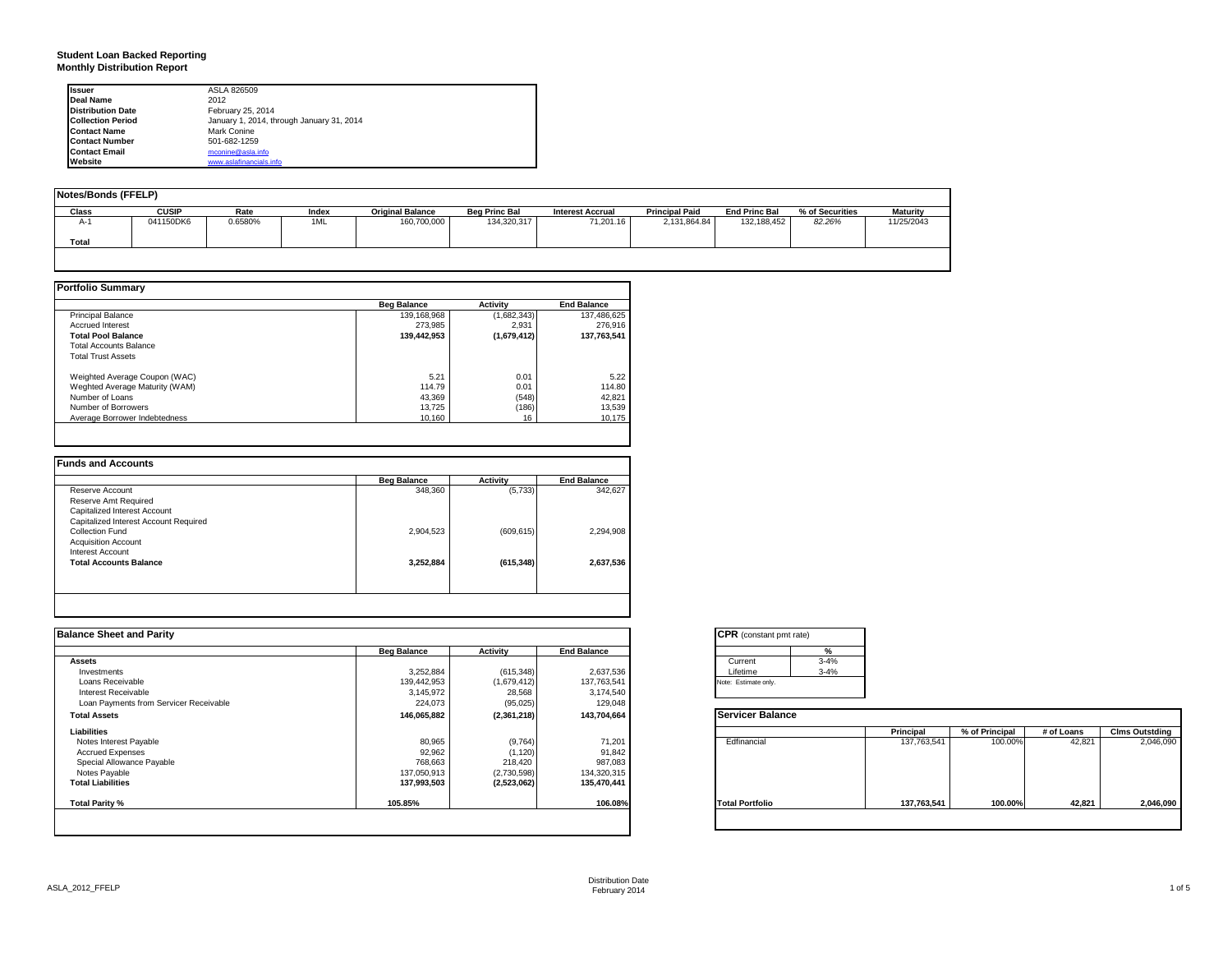#### **Student Loan Backed Reporting Monthly Distribution Report**

| <b>Issuer</b>            | ASLA 826509                               |  |
|--------------------------|-------------------------------------------|--|
| Deal Name                | 2012                                      |  |
| <b>Distribution Date</b> | February 25, 2014                         |  |
| <b>Collection Period</b> | January 1, 2014, through January 31, 2014 |  |
| <b>Contact Name</b>      | Mark Conine                               |  |
| <b>Contact Number</b>    | 501-682-1259                              |  |
| <b>Contact Email</b>     | mconine@asla.info                         |  |
| Website                  | www.aslafinancials.info                   |  |

| Notes/Bonds (FFELP) |              |         |       |                         |                      |                         |                       |                      |                 |                 |
|---------------------|--------------|---------|-------|-------------------------|----------------------|-------------------------|-----------------------|----------------------|-----------------|-----------------|
| Class               | <b>CUSIP</b> | Rate    | Index | <b>Original Balance</b> | <b>Beg Princ Bal</b> | <b>Interest Accrual</b> | <b>Principal Paid</b> | <b>End Princ Bal</b> | % of Securities | <b>Maturity</b> |
| $A-1$               | 041150DK6    | 0.6580% | 1ML   | 160,700,000             | 134,320,317          | 71.201.16               | 2.131.864.84          | 132.188.452          | 82.26%          | 11/25/2043      |
| Total               |              |         |       |                         |                      |                         |                       |                      |                 |                 |
|                     |              |         |       |                         |                      |                         |                       |                      |                 |                 |

|                                | <b>Beg Balance</b> | <b>Activity</b> | <b>End Balance</b> |
|--------------------------------|--------------------|-----------------|--------------------|
| <b>Principal Balance</b>       | 139.168.968        | (1,682,343)     | 137,486,625        |
| <b>Accrued Interest</b>        | 273.985            | 2.931           | 276,916            |
| <b>Total Pool Balance</b>      | 139.442.953        | (1,679,412)     | 137.763.541        |
| <b>Total Accounts Balance</b>  |                    |                 |                    |
| <b>Total Trust Assets</b>      |                    |                 |                    |
| Weighted Average Coupon (WAC)  | 5.21               | 0.01            | 5.22               |
| Weghted Average Maturity (WAM) | 114.79             | 0.01            | 114.80             |
| Number of Loans                | 43.369             | (548)           | 42,821             |
| Number of Borrowers            | 13.725             | (186)           | 13,539             |
| Average Borrower Indebtedness  | 10.160             | 16              | 10,175             |

|                                       | <b>Beg Balance</b> | <b>Activity</b> | <b>End Balance</b> |
|---------------------------------------|--------------------|-----------------|--------------------|
| Reserve Account                       | 348,360            | (5,733)         | 342,627            |
| Reserve Amt Required                  |                    |                 |                    |
| Capitalized Interest Account          |                    |                 |                    |
| Capitalized Interest Account Required |                    |                 |                    |
| Collection Fund                       | 2,904,523          | (609, 615)      | 2,294,908          |
| <b>Acquisition Account</b>            |                    |                 |                    |
| Interest Account                      |                    |                 |                    |
| <b>Total Accounts Balance</b>         | 3.252.884          | (615, 348)      | 2.637.536          |
|                                       |                    |                 |                    |
|                                       |                    |                 |                    |

| <b>Balance Sheet and Parity</b>        |                    |                 |                    | <b>CPR</b> (constant pmt rate) |             |                |            |                       |
|----------------------------------------|--------------------|-----------------|--------------------|--------------------------------|-------------|----------------|------------|-----------------------|
|                                        | <b>Beg Balance</b> | <b>Activity</b> | <b>End Balance</b> |                                |             |                |            |                       |
| <b>Assets</b>                          |                    |                 |                    | $3 - 4%$<br>Current            |             |                |            |                       |
| Investments                            | 3,252,884          | (615, 348)      | 2,637,536          | $3 - 4%$<br>Lifetime           |             |                |            |                       |
| Loans Receivable                       | 139,442,953        | (1,679,412)     | 137,763,541        | Note: Estimate only.           |             |                |            |                       |
| Interest Receivable                    | 3,145,972          | 28,568          | 3,174,540          |                                |             |                |            |                       |
| Loan Payments from Servicer Receivable | 224,073            | (95, 025)       | 129,048            |                                |             |                |            |                       |
| <b>Total Assets</b>                    | 146,065,882        | (2,361,218)     | 143,704,664        | <b>Servicer Balance</b>        |             |                |            |                       |
| Liabilities                            |                    |                 |                    |                                | Principal   | % of Principal | # of Loans | <b>Clms Outstding</b> |
| Notes Interest Payable                 | 80,965             | (9,764)         | 71,201             | Edfinancial                    | 137,763,541 | 100.00%        | 42,821     | 2,046,090             |
| <b>Accrued Expenses</b>                | 92,962             | (1, 120)        | 91,842             |                                |             |                |            |                       |
| Special Allowance Payable              | 768,663            | 218,420         | 987,083            |                                |             |                |            |                       |
| Notes Payable                          | 137,050,913        | (2,730,598)     | 134,320,315        |                                |             |                |            |                       |
| <b>Total Liabilities</b>               | 137,993,503        | (2,523,062)     | 135,470,441        |                                |             |                |            |                       |
| Total Parity %                         | 105.85%            |                 | 106.08%            | <b>Total Portfolio</b>         | 137,763,541 | 100.00%        | 42.821     | 2,046,090             |
|                                        |                    |                 |                    |                                |             |                |            |                       |
|                                        |                    |                 |                    |                                |             |                |            |                       |

| <b>CPR</b> (constant pmt rate) |          |
|--------------------------------|----------|
|                                | %        |
| Current                        | $3 - 4%$ |
| Lifetime                       | $3 - 4%$ |
| lote: Estimate only.           |          |

|                        | Principal   | % of Principal | # of Loans | <b>Clms Outstding</b> |
|------------------------|-------------|----------------|------------|-----------------------|
| Edfinancial            | 137,763,541 | 100.00%        | 42,821     | 2,046,090             |
| <b>Total Portfolio</b> | 137,763,541 | 100.00%        | 42,821     | 2,046,090             |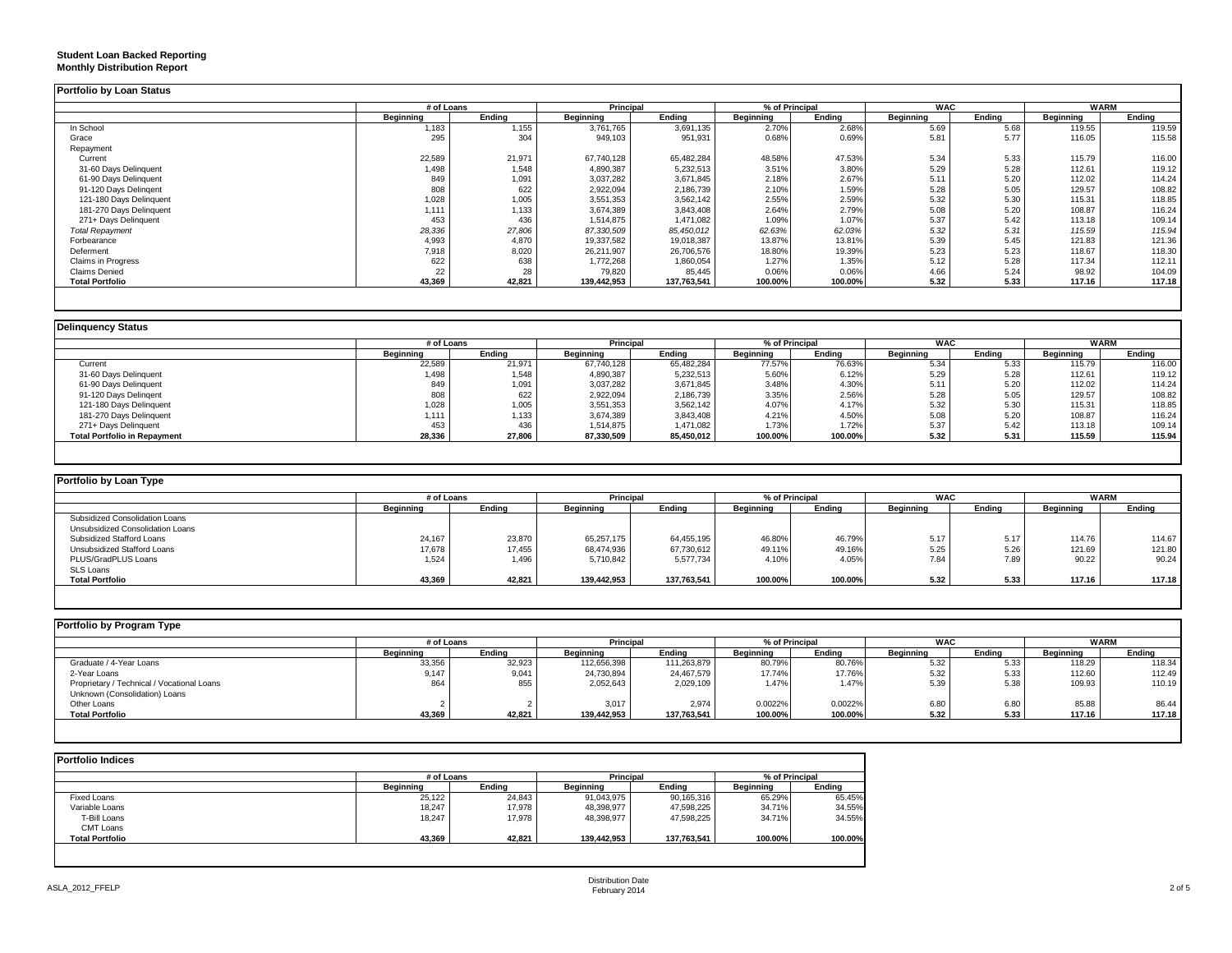#### **Student Loan Backed Reporting Monthly Distribution Report**

|                           | # of Loans |        |                  | Principal   |           | % of Principal |           | <b>WAC</b> |                  | <b>WARM</b> |
|---------------------------|------------|--------|------------------|-------------|-----------|----------------|-----------|------------|------------------|-------------|
|                           | Beginning  | Endina | <b>Beginning</b> | Endina      | Beginning | Endina         | Beginning | Endina     | <b>Beginning</b> | Endina      |
| In School                 | 1,183      | 1,155  | 3,761,765        | 3,691,135   | 2.70%     | 2.68%          | 5.69      | 5.68       | 119.55           | 119.59      |
| Grace                     | 295        | 304    | 949,103          | 951,931     | 0.68%     | 0.69%          | 5.81      | 5.77       | 116.05           | 115.58      |
| Repayment                 |            |        |                  |             |           |                |           |            |                  |             |
| Current                   | 22,589     | 21,971 | 67.740.128       | 65,482,284  | 48.58%    | 47.53%         | 5.34      | 5.33       | 115.79           | 116.00      |
| 31-60 Days Delinquent     | 1,498      | 1,548  | 4,890,387        | 5,232,513   | 3.51%     | 3.80%          | 5.29      | 5.28       | 112.61           | 119.12      |
| 61-90 Days Delinquent     | 849        | 1,091  | 3,037,282        | 3,671,845   | 2.18%     | 2.67%          | 5.11      | 5.20       | 112.02           | 114.24      |
| 91-120 Days Delingent     | 808        | 622    | 2,922,094        | 2,186,739   | 2.10%     | 1.59%          | 5.28      | 5.05       | 129.57           | 108.82      |
| 121-180 Days Delinquent   | 1,028      | 1,005  | 3,551,353        | 3,562,142   | 2.55%     | 2.59%          | 5.32      | 5.30       | 115.31           | 118.85      |
| 181-270 Days Delinquent   | 1,111      | 1,133  | 3,674,389        | 3,843,408   | 2.64%     | 2.79%          | 5.08      | 5.20       | 108.87           | 116.24      |
| 271+ Days Delinquent      | 453        | 436    | 1,514,875        | 1,471,082   | 1.09%     | 1.07%          | 5.37      | 5.42       | 113.18           | 109.14      |
| <b>Total Repayment</b>    | 28,336     | 27,806 | 87,330,509       | 85,450,012  | 62.63%    | 62.03%         | 5.32      | 5.31       | 115.59           | 115.94      |
| Forbearance               | 4,993      | 4,870  | 19,337,582       | 19,018,387  | 13.87%    | 13.81%         | 5.39      | 5.45       | 121.83           | 121.36      |
| Deferment                 | 7,918      | 8,020  | 26,211,907       | 26,706,576  | 18.80%    | 19.39%         | 5.23      | 5.23       | 118.67           | 118.30      |
| <b>Claims in Progress</b> | 622        | 638    | 1,772,268        | 1,860,054   | 1.27%     | 1.35%          | 5.12      | 5.28       | 117.34           | 112.11      |
| <b>Claims Denied</b>      | 22         | 28     | 79,820           | 85,445      | 0.06%     | 0.06%          | 4.66      | 5.24       | 98.92            | 104.09      |
| <b>Total Portfolio</b>    | 43,369     | 42,821 | 139,442,953      | 137,763,541 | 100.00%   | 100.00%        | 5.32      | 5.33       | 117.16           | 117.18      |

| <b>Delinquency Status</b> |  |
|---------------------------|--|
|                           |  |

|           |        |            | Principal  | % of Principal |         | <b>WAC</b> |        | WARM             |        |
|-----------|--------|------------|------------|----------------|---------|------------|--------|------------------|--------|
| Beginning | Endina | Beainnina  | Endina     | Beainnina      | Endina  | Beainnina  | Endina | <b>Beginning</b> | Endina |
| 22,589    | 21,971 | 67.740.128 | 65,482,284 | 77.57%         | 76.63%  | 5.34       | 5.33   | 115.79           | 116.00 |
| 1,498     | 1.548  | 4,890,387  | 5,232,513  | 5.60%          | 6.12%   | 5.29       | 5.28   | 112.61           | 119.12 |
| 849       | 1,091  | 3,037,282  | 3,671,845  | 3.48%          | 4.30%   | 5.11       | 5.20   | 112.02           | 114.24 |
| 808       | 622    | 2,922,094  | 2,186,739  | 3.35%          | 2.56%   | 5.28       | 5.05   | 129.57           | 108.82 |
| 1,028     | 1,005  | 3,551,353  | 3,562,142  | 4.07%          | 4.17%   | 5.32       | 5.30   | 115.31           | 118.85 |
| 1.111     | 1,133  | 3,674,389  | 3,843,408  | 4.21%          | 4.50%   | 5.08       | 5.20   | 108.87           | 116.24 |
| 453       | 436    | 1.514.875  | 1.471.082  | 1.73%          | 1.72%   | 5.37       | 5.42   | 113.18           | 109.14 |
| 28,336    | 27,806 | 87,330,509 | 85,450,012 | 100.00%        | 100.00% | 5.32       | 5.31   | 115.59           | 115.94 |
|           |        |            |            |                |         |            |        |                  |        |

| Portfolio by Loan Type           |                  |        |                  |             |                |         |                  |        |             |        |
|----------------------------------|------------------|--------|------------------|-------------|----------------|---------|------------------|--------|-------------|--------|
|                                  | # of Loans       |        | <b>Principal</b> |             | % of Principal |         | <b>WAC</b>       |        | <b>WARM</b> |        |
|                                  | <b>Beginning</b> | Endina | Beginning        | Endina      | Beginning      | Ending  | <b>Beginning</b> | Endina | Beginning   | Ending |
| Subsidized Consolidation Loans   |                  |        |                  |             |                |         |                  |        |             |        |
| Unsubsidized Consolidation Loans |                  |        |                  |             |                |         |                  |        |             |        |
| Subsidized Stafford Loans        | 24.167           | 23,870 | 65.257.175       | 64.455.195  | 46.80%         | 46.79%  | 5.17             | 5.17   | 114.76      | 114.67 |
| Unsubsidized Stafford Loans      | 17,678           | 17,455 | 68,474,936       | 67,730,612  | 49.11%         | 49.16%  | 5.25             | 5.26   | 121.69      | 121.80 |
| PLUS/GradPLUS Loans              | 1,524            | 1,496  | 5,710,842        | 5,577,734   | 4.10%          | 4.05%   | 7.84             | 7.89   | 90.22       | 90.24  |
| SLS Loans                        |                  |        |                  |             |                |         |                  |        |             |        |
| <b>Total Portfolio</b>           | 43,369           | 42,821 | 139.442.953      | 137.763.541 | 100.00%        | 100.00% | 5.32             | 5.33   | 117.16      | 117.18 |

| Portfolio by Program Type                  |            |        |                  |             |                |         |            |        |             |        |
|--------------------------------------------|------------|--------|------------------|-------------|----------------|---------|------------|--------|-------------|--------|
|                                            | # of Loans |        | <b>Principal</b> |             | % of Principal |         | <b>WAC</b> |        | <b>WARM</b> |        |
|                                            | Beainnina  | Endina | Beginning        | Endina      | Beainnina      | Endina  | Beainnina  | Endina | Beginning   | Endina |
| Graduate / 4-Year Loans                    | 33,356     | 32,923 | 112,656,398      | 111,263,879 | 80.79%         | 80.76%  | 5.32       | 5.33   | 118.29      | 118.34 |
| 2-Year Loans                               | 9,147      | 9,041  | 24,730,894       | 24,467,579  | 17.74%         | 17.76%  | 5.32       | 5.33   | 112.60      | 112.49 |
| Proprietary / Technical / Vocational Loans | 864        | 855    | 2,052,643        | 2,029,109   | 1.47%          | 1.47%   | 5.39       | 5.38   | 109.93      | 110.19 |
| Unknown (Consolidation) Loans              |            |        |                  |             |                |         |            |        |             |        |
| Other Loans                                |            |        | 3,017            | 2,974       | 0.0022%        | 0.0022% | 6.80       | 6.80   | 85.88       | 86.44  |
| <b>Total Portfolio</b>                     | 43,369     | 42,821 | 139.442.953      | 137,763,541 | 100.00%        | 100.00% | 5.32       | 5.33   | 117.16      | 117.18 |
|                                            |            |        |                  |             |                |         |            |        |             |        |

|                        |           | # of Loans |             | <b>Principal</b> |           | % of Principal |  |
|------------------------|-----------|------------|-------------|------------------|-----------|----------------|--|
|                        | Beainnina | Endina     | Beainnina   | Endina           | Beginning | Endina         |  |
| Fixed Loans            | 25,122    | 24,843     | 91,043,975  | 90,165,316       | 65.29%    | 65.45%         |  |
| Variable Loans         | 18,247    | 17,978     | 48,398,977  | 47,598,225       | 34.71%    | 34.55%         |  |
| T-Bill Loans           | 18,247    | 17,978     | 48,398,977  | 47,598,225       | 34.71%    | 34.55%         |  |
| CMT Loans              |           |            |             |                  |           |                |  |
| <b>Total Portfolio</b> | 43,369    | 42,821     | 139,442,953 | 137,763,541      | 100.00%   | 100.00%        |  |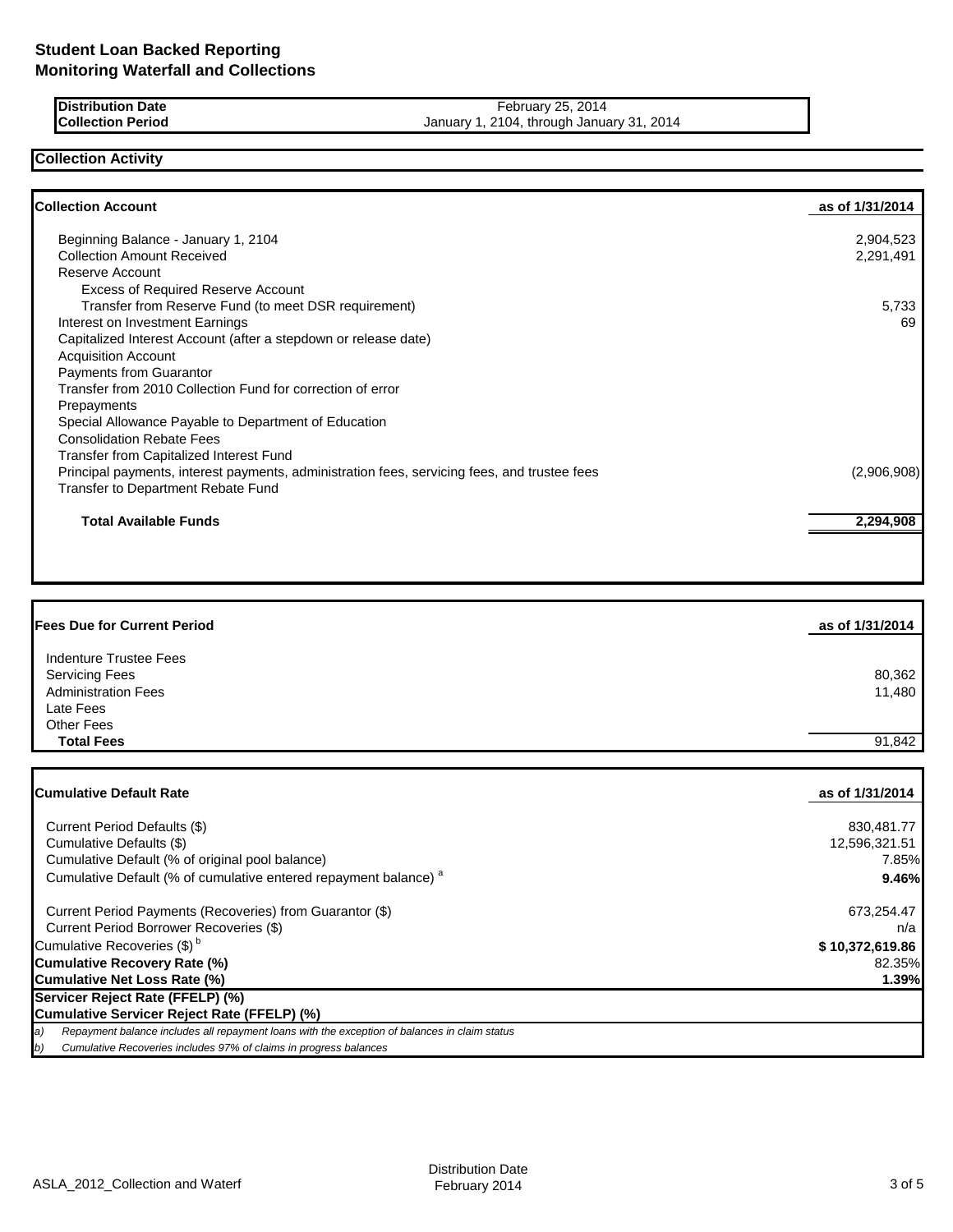| <b>IDistribution Date</b> |  |
|---------------------------|--|
| <b>Collection Period</b>  |  |

**Distribution Date** February 25, 2014 **Collection Period** January 1, 2104, through January 31, 2014

# **Collection Activity**

| <b>Collection Account</b>                                                                    | as of 1/31/2014 |
|----------------------------------------------------------------------------------------------|-----------------|
| Beginning Balance - January 1, 2104                                                          | 2,904,523       |
| <b>Collection Amount Received</b>                                                            | 2,291,491       |
| Reserve Account                                                                              |                 |
| Excess of Required Reserve Account                                                           |                 |
| Transfer from Reserve Fund (to meet DSR requirement)                                         | 5,733           |
| Interest on Investment Earnings                                                              | 69              |
| Capitalized Interest Account (after a stepdown or release date)                              |                 |
| <b>Acquisition Account</b>                                                                   |                 |
| <b>Payments from Guarantor</b>                                                               |                 |
| Transfer from 2010 Collection Fund for correction of error                                   |                 |
| Prepayments                                                                                  |                 |
| Special Allowance Payable to Department of Education                                         |                 |
| <b>Consolidation Rebate Fees</b>                                                             |                 |
| <b>Transfer from Capitalized Interest Fund</b>                                               |                 |
| Principal payments, interest payments, administration fees, servicing fees, and trustee fees | (2,906,908)     |
| <b>Transfer to Department Rebate Fund</b>                                                    |                 |
| <b>Total Available Funds</b>                                                                 | 2,294,908       |

| <b>Fees Due for Current Period</b> | as of 1/31/2014 |
|------------------------------------|-----------------|
| Indenture Trustee Fees             |                 |
| <b>Servicing Fees</b>              | 80,362          |
| <b>Administration Fees</b>         | 11,480          |
| Late Fees                          |                 |
| <b>Other Fees</b>                  |                 |
| <b>Total Fees</b>                  | 91,842          |

| Cumulative Default Rate                                                                             | as of 1/31/2014 |
|-----------------------------------------------------------------------------------------------------|-----------------|
|                                                                                                     |                 |
| Current Period Defaults (\$)                                                                        | 830.481.77      |
| Cumulative Defaults (\$)                                                                            | 12,596,321.51   |
| Cumulative Default (% of original pool balance)                                                     | 7.85%           |
| Cumulative Default (% of cumulative entered repayment balance) <sup>a</sup>                         | 9.46%           |
| Current Period Payments (Recoveries) from Guarantor (\$)                                            | 673,254.47      |
| Current Period Borrower Recoveries (\$)                                                             | n/a             |
| Cumulative Recoveries (\$) <sup>b</sup>                                                             | \$10,372,619.86 |
| <b>Cumulative Recovery Rate (%)</b>                                                                 | 82.35%          |
| Cumulative Net Loss Rate (%)                                                                        | 1.39%           |
| Servicer Reject Rate (FFELP) (%)                                                                    |                 |
| Cumulative Servicer Reject Rate (FFELP) (%)                                                         |                 |
| Repayment balance includes all repayment loans with the exception of balances in claim status<br>a) |                 |
| b)<br>Cumulative Recoveries includes 97% of claims in progress balances                             |                 |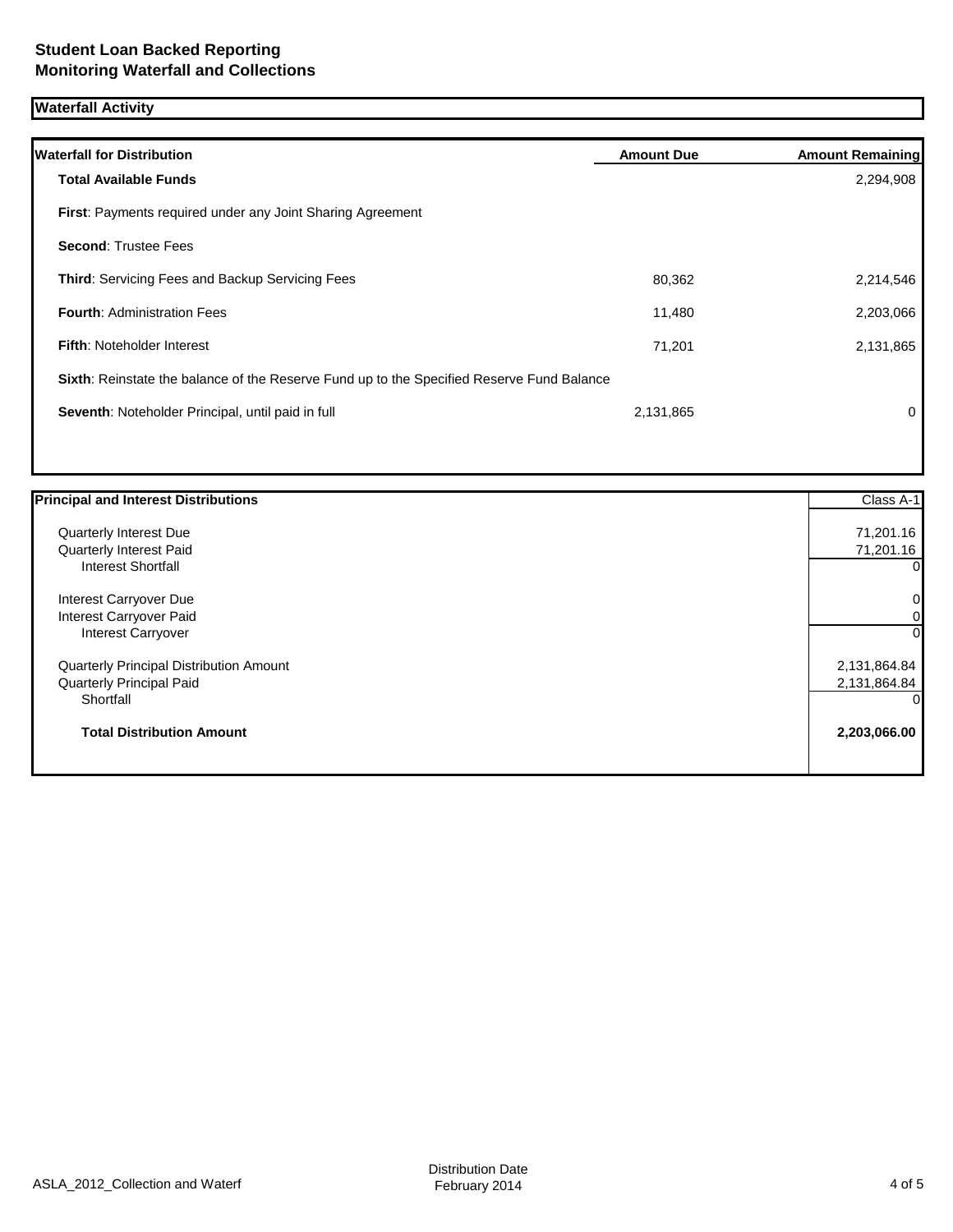# **Waterfall Activity**

| <b>Waterfall for Distribution</b>                                                         | <b>Amount Due</b> | <b>Amount Remaining</b> |
|-------------------------------------------------------------------------------------------|-------------------|-------------------------|
| <b>Total Available Funds</b>                                                              |                   | 2,294,908               |
| <b>First:</b> Payments required under any Joint Sharing Agreement                         |                   |                         |
| <b>Second: Trustee Fees</b>                                                               |                   |                         |
| Third: Servicing Fees and Backup Servicing Fees                                           | 80,362            | 2,214,546               |
| <b>Fourth: Administration Fees</b>                                                        | 11,480            | 2,203,066               |
| <b>Fifth: Noteholder Interest</b>                                                         | 71,201            | 2,131,865               |
| Sixth: Reinstate the balance of the Reserve Fund up to the Specified Reserve Fund Balance |                   |                         |
| Seventh: Noteholder Principal, until paid in full                                         | 2,131,865         | 0                       |
|                                                                                           |                   |                         |

| <b>Principal and Interest Distributions</b>    | Class A-1      |
|------------------------------------------------|----------------|
| Quarterly Interest Due                         | 71,201.16      |
| Quarterly Interest Paid                        | 71,201.16      |
| Interest Shortfall                             | $\overline{0}$ |
| Interest Carryover Due                         | $\overline{0}$ |
| Interest Carryover Paid                        | $\overline{O}$ |
| Interest Carryover                             | $\Omega$       |
| <b>Quarterly Principal Distribution Amount</b> | 2,131,864.84   |
| Quarterly Principal Paid                       | 2,131,864.84   |
| Shortfall                                      | $\Omega$       |
| <b>Total Distribution Amount</b>               | 2,203,066.00   |
|                                                |                |